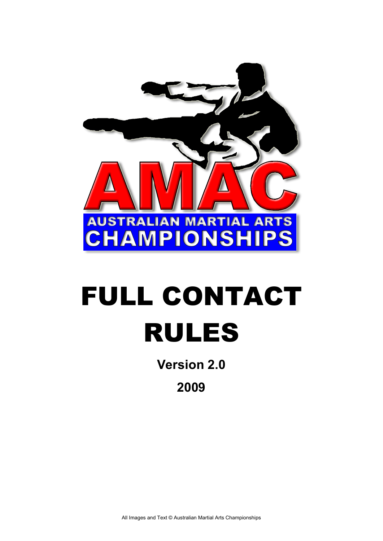

# FULL CONTACT RULES

**Version 2.0** 

**2009**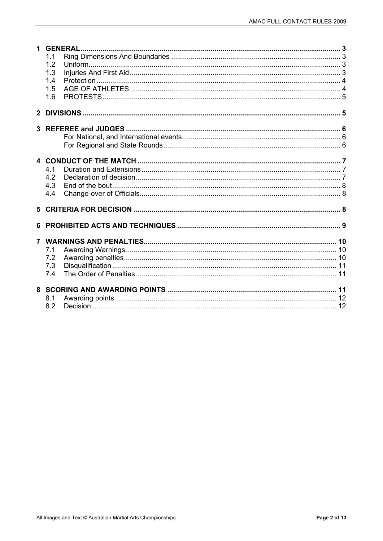|   | 1.1 |  |
|---|-----|--|
|   | 1.2 |  |
|   | 1.3 |  |
|   | 1.4 |  |
|   | 1.5 |  |
|   | 1.6 |  |
|   |     |  |
|   |     |  |
|   |     |  |
|   |     |  |
|   |     |  |
|   |     |  |
|   |     |  |
|   | 4.1 |  |
|   | 4.2 |  |
|   | 4.3 |  |
|   | 4.4 |  |
|   |     |  |
|   |     |  |
| 6 |     |  |
|   |     |  |
|   |     |  |
|   | 7.1 |  |
|   | 7.2 |  |
|   | 7.3 |  |
|   | 7.4 |  |
|   |     |  |
|   | 8.1 |  |
|   | 8.2 |  |
|   |     |  |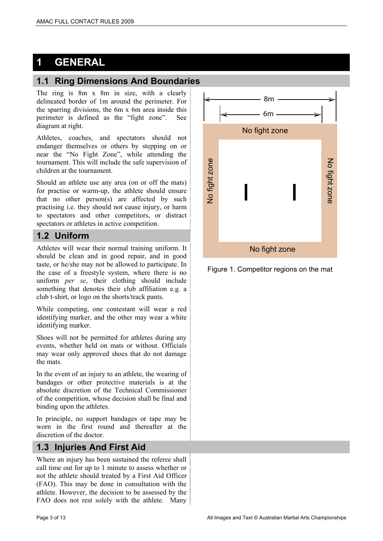# **1 GENERAL**

## **1.1 Ring Dimensions And Boundaries**

The ring is 8m x 8m in size, with a clearly delineated border of 1m around the perimeter. For the sparring divisions, the 6m x 6m area inside this perimeter is defined as the "fight zone". See diagram at right.

Athletes, coaches, and spectators should not endanger themselves or others by stepping on or near the "No Fight Zone", while attending the tournament. This will include the safe supervision of children at the tournament.

Should an athlete use any area (on or off the mats) for practise or warm-up, the athlete should ensure that no other person(s) are affected by such practising i.e. they should not cause injury, or harm to spectators and other competitors, or distract spectators or athletes in active competition.

## **1.2 Uniform**

Athletes will wear their normal training uniform. It should be clean and in good repair, and in good taste, or he/she may not be allowed to participate. In the case of a freestyle system, where there is no uniform *per se*, their clothing should include something that denotes their club affiliation e.g. a club t-shirt, or logo on the shorts/track pants.

While competing, one contestant will wear a red identifying marker, and the other may wear a white identifying marker.

Shoes will not be permitted for athletes during any events, whether held on mats or without. Officials may wear only approved shoes that do not damage the mats.

In the event of an injury to an athlete, the wearing of bandages or other protective materials is at the absolute discretion of the Technical Commissioner of the competition, whose decision shall be final and binding upon the athletes.

In principle, no support bandages or tape may be worn in the first round and thereafter at the discretion of the doctor.

## **1.3 Injuries And First Aid**

Where an injury has been sustained the referee shall call time out for up to 1 minute to assess whether or not the athlete should treated by a First Aid Officer (FAO). This may be done in consultation with the athlete. However, the decision to be assessed by the FAO does not rest solely with the athlete. Many



Figure 1. Competitor regions on the mat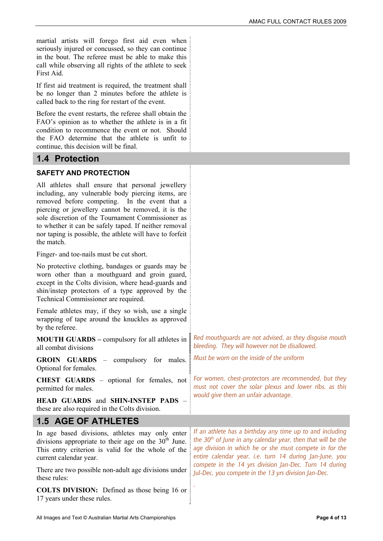martial artists will forego first aid even when seriously injured or concussed, so they can continue in the bout. The referee must be able to make this call while observing all rights of the athlete to seek First Aid.

If first aid treatment is required, the treatment shall be no longer than 2 minutes before the athlete is called back to the ring for restart of the event.

Before the event restarts, the referee shall obtain the FAO's opinion as to whether the athlete is in a fit condition to recommence the event or not. Should the FAO determine that the athlete is unfit to continue, this decision will be final.

#### **1.4 Protection**

#### **SAFETY AND PROTECTION**

All athletes shall ensure that personal jewellery including, any vulnerable body piercing items, are removed before competing. In the event that a piercing or jewellery cannot be removed, it is the sole discretion of the Tournament Commissioner as to whether it can be safely taped. If neither removal nor taping is possible, the athlete will have to forfeit the match.

Finger- and toe-nails must be cut short.

No protective clothing, bandages or guards may be worn other than a mouthguard and groin guard, except in the Colts division, where head-guards and shin/instep protectors of a type approved by the Technical Commissioner are required.

Female athletes may, if they so wish, use a single wrapping of tape around the knuckles as approved by the referee.

**MOUTH GUARDS –** compulsory for all athletes in all combat divisions

**GROIN GUARDS** – compulsory for males. Optional for females. Must be worn on the inside of the uniform

**CHEST GUARDS** – optional for females, not permitted for males. For women, chest-protectors are recommended, but they must not cover the solar plexus and lower ribs, as this would give them an unfair advantage.

**HEAD GUARDS** and **SHIN-INSTEP PADS** – these are also required in the Colts division.

#### **1.5 AGE OF ATHLETES**

In age based divisions, athletes may only enter divisions appropriate to their age on the  $30<sup>th</sup>$  June. This entry criterion is valid for the whole of the current calendar year.

There are two possible non-adult age divisions under these rules:

**COLTS DIVISION:** Defined as those being 16 or 17 years under these rules.

If an athlete has a birthday any time up to and including the  $30<sup>th</sup>$  of June in any calendar year, then that will be the age division in which he or she must compete in for the entire calendar year. i.e. turn 14 during Jan-June, you compete in the 14 yrs division Jan-Dec. Turn 14 during Jul-Dec, you compete in the 13 yrs division Jan-Dec.

.

Red mouthguards are not advised, as they disguise mouth

bleeding. They will however not be disallowed.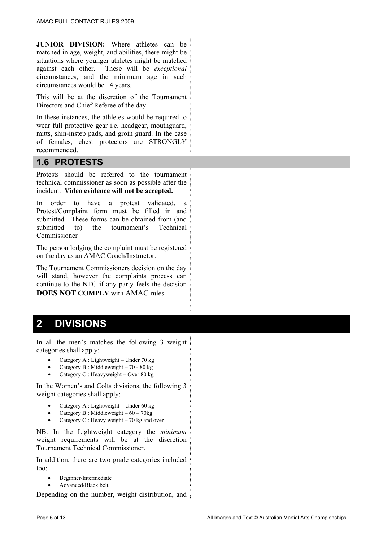**JUNIOR DIVISION:** Where athletes can be matched in age, weight, and abilities, there might be situations where younger athletes might be matched against each other. These will be *exceptional* circumstances, and the minimum age in such circumstances would be 14 years.

This will be at the discretion of the Tournament Directors and Chief Referee of the day.

In these instances, the athletes would be required to wear full protective gear i.e. headgear, mouthguard, mitts, shin-instep pads, and groin guard. In the case of females, chest protectors are STRONGLY recommended.

#### **1.6 PROTESTS**

Protests should be referred to the tournament technical commissioner as soon as possible after the incident. **Video evidence will not be accepted.**

In order to have a protest validated, a Protest/Complaint form must be filled in and submitted. These forms can be obtained from (and submitted to) the tournament's Technical Commissioner

The person lodging the complaint must be registered on the day as an AMAC Coach/Instructor.

The Tournament Commissioners decision on the day will stand, however the complaints process can continue to the NTC if any party feels the decision **DOES NOT COMPLY** with AMAC rules.

# **2 DIVISIONS**

In all the men's matches the following 3 weight categories shall apply:

- Category A : Lightweight Under 70 kg
- Category B : Middleweight 70 80 kg
- Category C : Heavyweight Over 80 kg

In the Women's and Colts divisions, the following 3 weight categories shall apply:

- Category A : Lightweight Under 60 kg
- Category B : Middleweight  $-60 70$ kg
- Category C : Heavy weight 70 kg and over

NB: In the Lightweight category the *minimum* weight requirements will be at the discretion Tournament Technical Commissioner.

In addition, there are two grade categories included too:

- Beginner/Intermediate
- Advanced/Black belt

Depending on the number, weight distribution, and  $\frac{1}{2}$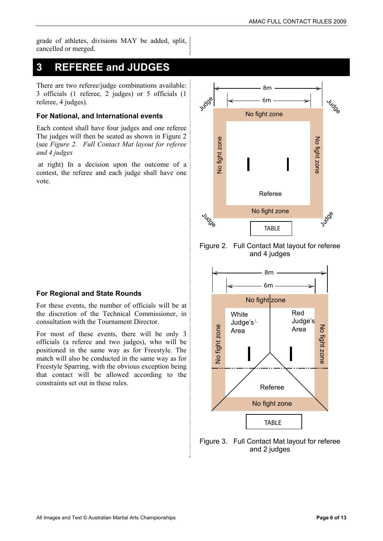grade of athletes, divisions MAY be added, split, cancelled or merged.

## **3 REFEREE and JUDGES**

There are two referee/judge combinations available: 3 officials (1 referee, 2 judges) or 5 officials (1 referee, 4 judges).

#### **For National, and International events**

Each contest shall have four judges and one referee The judges will then be seated as shown in Figure 2 (see *Figure 2. Full Contact Mat layout for referee and 4 judges* 

 at right) In a decision upon the outcome of a contest, the referee and each judge shall have one vote.



For these events, the number of officials will be at the discretion of the Technical Commissioner, in consultation with the Tournament Director.

For most of these events, there will be only 3 officials (a referee and two judges), who will be positioned in the same way as for Freestyle. The match will also be conducted in the same way as for Freestyle Sparring, with the obvious exception being that contact will be allowed according to the constraints set out in these rules.



Figure 2. Full Contact Mat layout for referee and 4 judges



Figure 3. Full Contact Mat layout for referee and 2 judges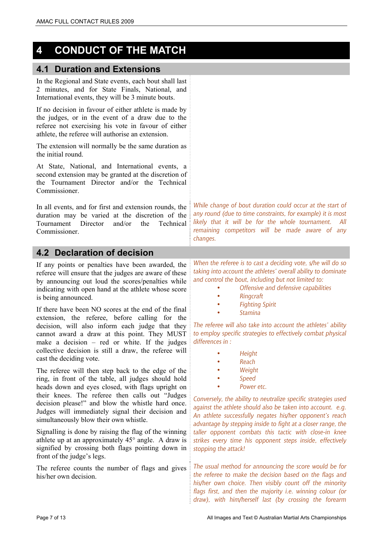# **4 CONDUCT OF THE MATCH**

#### **4.1 Duration and Extensions**

In the Regional and State events, each bout shall last 2 minutes, and for State Finals, National, and International events, they will be 3 minute bouts.

If no decision in favour of either athlete is made by the judges, or in the event of a draw due to the referee not exercising his vote in favour of either athlete, the referee will authorise an extension.

The extension will normally be the same duration as the initial round.

At State, National, and International events, a second extension may be granted at the discretion of the Tournament Director and/or the Technical Commissioner.

In all events, and for first and extension rounds, the duration may be varied at the discretion of the Tournament Director and/or the Technical Commissioner.

#### **4.2 Declaration of decision**

If any points or penalties have been awarded, the referee will ensure that the judges are aware of these by announcing out loud the scores/penalties while indicating with open hand at the athlete whose score is being announced.

If there have been NO scores at the end of the final extension, the referee, before calling for the decision, will also inform each judge that they cannot award a draw at this point. They MUST make a decision  $-$  red or white. If the judges collective decision is still a draw, the referee will cast the deciding vote.

The referee will then step back to the edge of the ring, in front of the table, all judges should hold heads down and eyes closed, with flags upright on their knees. The referee then calls out "Judges decision please!" and blow the whistle hard once. Judges will immediately signal their decision and simultaneously blow their own whistle.

Signalling is done by raising the flag of the winning athlete up at an approximately 45° angle. A draw is signified by crossing both flags pointing down in front of the judge's legs.

The referee counts the number of flags and gives his/her own decision.

While change of bout duration could occur at the start of any round (due to time constraints, for example) it is most likely that it will be for the whole tournament. All remaining competitors will be made aware of any changes.

When the referee is to cast a deciding vote, s/he will do so taking into account the athletes' overall ability to dominate and control the bout, including but not limited to:

- Offensive and defensive capabilities
- Ringcraft
- Fighting Spirit
- Stamina

The referee will also take into account the athletes' ability to employ specific strategies to effectively combat physical differences in :

- Height
- Reach
- **Weight**
- Speed
- Power etc.

Conversely, the ability to neutralize specific strategies used against the athlete should also be taken into account. e.g. An athlete successfully negates his/her opponent's reach advantage by stepping inside to fight at a closer range, the taller opponent combats this tactic with close-in knee strikes every time his opponent steps inside, effectively stopping the attack!

The usual method for announcing the score would be for the referee to make the decision based on the flags and his/her own choice. Then visibly count off the minority flags first, and then the majority i.e. winning colour (or draw), with him/herself last (by crossing the forearm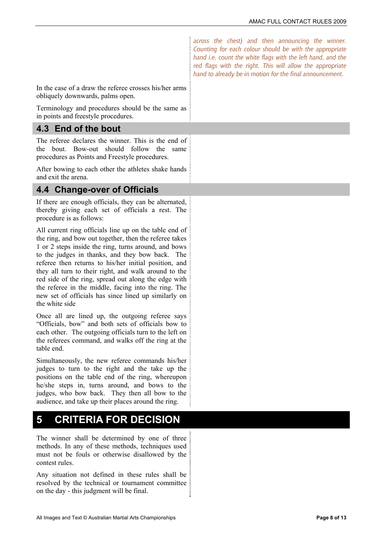across the chest) and then announcing the winner. Counting for each colour should be with the appropriate hand i.e. count the white flags with the left hand, and the red flags with the right. This will allow the appropriate hand to already be in motion for the final announcement.

In the case of a draw the referee crosses his/her arms obliquely downwards, palms open.

Terminology and procedures should be the same as in points and freestyle procedures.

### **4.3 End of the bout**

The referee declares the winner. This is the end of the bout. Bow-out should follow the same procedures as Points and Freestyle procedures.

After bowing to each other the athletes shake hands and exit the arena.

#### **4.4 Change-over of Officials**

If there are enough officials, they can be alternated, thereby giving each set of officials a rest. The procedure is as follows:

All current ring officials line up on the table end of the ring, and bow out together, then the referee takes 1 or 2 steps inside the ring, turns around, and bows to the judges in thanks, and they bow back. The referee then returns to his/her initial position, and they all turn to their right, and walk around to the red side of the ring, spread out along the edge with the referee in the middle, facing into the ring. The new set of officials has since lined up similarly on the white side

Once all are lined up, the outgoing referee says "Officials, bow" and both sets of officials bow to each other. The outgoing officials turn to the left on the referees command, and walks off the ring at the table end.

Simultaneously, the new referee commands his/her judges to turn to the right and the take up the positions on the table end of the ring, whereupon he/she steps in, turns around, and bows to the judges, who bow back. They then all bow to the audience, and take up their places around the ring.

# **5 CRITERIA FOR DECISION**

The winner shall be determined by one of three methods. In any of these methods, techniques used must not be fouls or otherwise disallowed by the contest rules.

Any situation not defined in these rules shall be resolved by the technical or tournament committee on the day - this judgment will be final.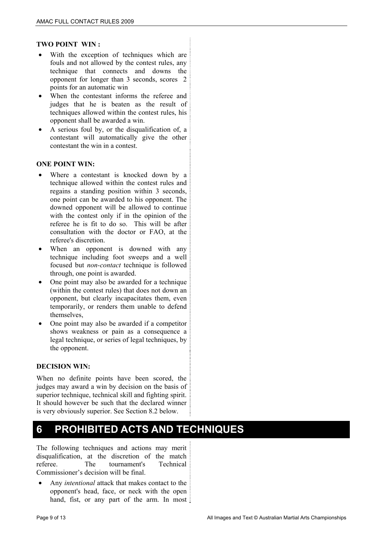#### **TWO POINT WIN :**

- With the exception of techniques which are fouls and not allowed by the contest rules, any technique that connects and downs the opponent for longer than 3 seconds, scores 2 points for an automatic win
- When the contestant informs the referee and judges that he is beaten as the result of techniques allowed within the contest rules, his opponent shall be awarded a win.
- A serious foul by, or the disqualification of, a contestant will automatically give the other contestant the win in a contest.

#### **ONE POINT WIN:**

- Where a contestant is knocked down by a technique allowed within the contest rules and regains a standing position within 3 seconds, one point can be awarded to his opponent. The downed opponent will be allowed to continue with the contest only if in the opinion of the referee he is fit to do so. This will be after consultation with the doctor or FAO, at the referee's discretion.
- When an opponent is downed with any technique including foot sweeps and a well focused but *non-contact* technique is followed through, one point is awarded.
- One point may also be awarded for a technique (within the contest rules) that does not down an opponent, but clearly incapacitates them, even temporarily, or renders them unable to defend themselves,
- One point may also be awarded if a competitor shows weakness or pain as a consequence a legal technique, or series of legal techniques, by the opponent.

#### **DECISION WIN:**

When no definite points have been scored, the judges may award a win by decision on the basis of superior technique, technical skill and fighting spirit. It should however be such that the declared winner is very obviously superior. See Section 8.2 below.

# **6 PROHIBITED ACTS AND TECHNIQUES**

The following techniques and actions may merit disqualification, at the discretion of the match referee. The tournament's Technical Commissioner's decision will be final.

 Any *intentional* attack that makes contact to the opponent's head, face, or neck with the open hand, fist, or any part of the arm. In most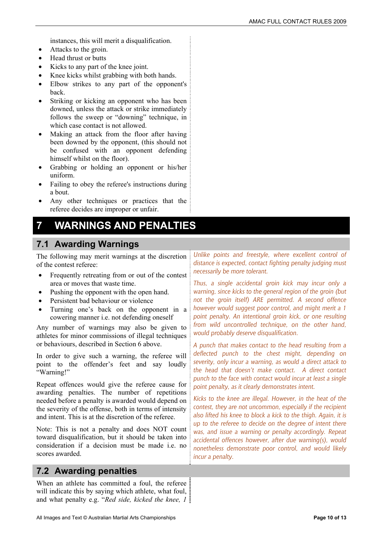instances, this will merit a disqualification.

- Attacks to the groin.
- Head thrust or butts
- Kicks to any part of the knee joint.
- Knee kicks whilst grabbing with both hands.
- Elbow strikes to any part of the opponent's back.
- Striking or kicking an opponent who has been downed, unless the attack or strike immediately follows the sweep or "downing" technique, in which case contact is not allowed.
- Making an attack from the floor after having been downed by the opponent, (this should not be confused with an opponent defending himself whilst on the floor).
- Grabbing or holding an opponent or his/her uniform.
- Failing to obey the referee's instructions during a bout.
- Any other techniques or practices that the referee decides are improper or unfair.

# **7 WARNINGS AND PENALTIES**

## **7.1 Awarding Warnings**

The following may merit warnings at the discretion of the contest referee:

- Frequently retreating from or out of the contest area or moves that waste time.
- Pushing the opponent with the open hand.
- Persistent bad behaviour or violence
- Turning one's back on the opponent in a cowering manner i.e. not defending oneself

Any number of warnings may also be given to athletes for minor commissions of illegal techniques or behaviours, described in Section 6 above.

In order to give such a warning, the referee will point to the offender's feet and say loudly "Warning!"

Repeat offences would give the referee cause for awarding penalties. The number of repetitions needed before a penalty is awarded would depend on the severity of the offense, both in terms of intensity and intent. This is at the discretion of the referee.

Note: This is not a penalty and does NOT count toward disqualification, but it should be taken into consideration if a decision must be made i.e. no scores awarded.

## **7.2 Awarding penalties**

When an athlete has committed a foul, the referee will indicate this by saying which athlete, what foul, and what penalty e.g. "*Red side, kicked the knee, 1* 

Unlike points and freestyle, where excellent control of distance is expected, contact fighting penalty judging must necessarily be more tolerant.

Thus, a single accidental groin kick may incur only a warning, since kicks to the general region of the groin (but not the groin itself) ARE permitted. A second offence however would suggest poor control, and might merit a 1 point penalty. An intentional groin kick, or one resulting from wild uncontrolled technique, on the other hand, would probably deserve disqualification.

A punch that makes contact to the head resulting from a deflected punch to the chest might, depending on severity, only incur a warning, as would a direct attack to the head that doesn't make contact. A direct contact punch to the face with contact would incur at least a single point penalty, as it clearly demonstrates intent.

Kicks to the knee are illegal. However, in the heat of the contest, they are not uncommon, especially if the recipient also lifted his knee to block a kick to the thigh. Again, it is up to the referee to decide on the degree of intent there was, and issue a warning or penalty accordingly. Repeat accidental offences however, after due warning(s), would nonetheless demonstrate poor control, and would likely incur a penalty.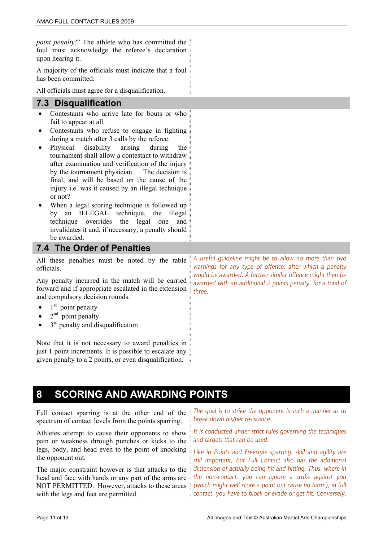*point penalty!*" The athlete who has committed the foul must acknowledge the referee's declaration upon hearing it.

A majority of the officials must indicate that a foul has been committed.

All officials must agree for a disqualification.

#### **7.3 Disqualification**

- Contestants who arrive late for bouts or who fail to appear at all.
- Contestants who refuse to engage in fighting during a match after 3 calls by the referee.
- Physical disability arising during the tournament shall allow a contestant to withdraw after examination and verification of the injury by the tournament physician. The decision is final, and will be based on the cause of the injury i.e. was it caused by an illegal technique or not?
- When a legal scoring technique is followed up by an ILLEGAL technique, the illegal technique overrides the legal one and invalidates it and, if necessary, a penalty should be awarded.

#### **7.4 The Order of Penalties**

All these penalties must be noted by the table officials.

Any penalty incurred in the match will be carried forward and if appropriate escalated in the extension and compulsory decision rounds.

- $1<sup>st</sup>$  point penalty
- $2<sup>nd</sup>$  point penalty
- 3<sup>rd</sup> penalty and disqualification

Note that it is not necessary to award penalties in just 1 point increments. It is possible to escalate any given penalty to a 2 points, or even disqualification.

A useful guideline might be to allow no more than two warnings for any type of offence, after which a penalty would be awarded. A further similar offence might then be awarded with an additional 2 points penalty, for a total of three.

## **8 SCORING AND AWARDING POINTS**

Full contact sparring is at the other end of the spectrum of contact levels from the points sparring.

Athletes attempt to cause their opponents to show pain or weakness through punches or kicks to the legs, body, and head even to the point of knocking the opponent out.

The major constraint however is that attacks to the head and face with hands or any part of the arms are NOT PERMITTED. However, attacks to these areas with the legs and feet are permitted.

The goal is to strike the opponent is such a manner as to break down his/her resistance.

It is conducted under strict rules governing the techniques and targets that can be used.

Like in Points and Freestyle sparring, skill and agility are still important, but Full Contact also has the additional dimension of actually being hit and hitting. Thus, where in the non-contact, you can ignore a strike against you (which might well score a point but cause no harm), in full contact, you have to block or evade or get hit. Conversely,